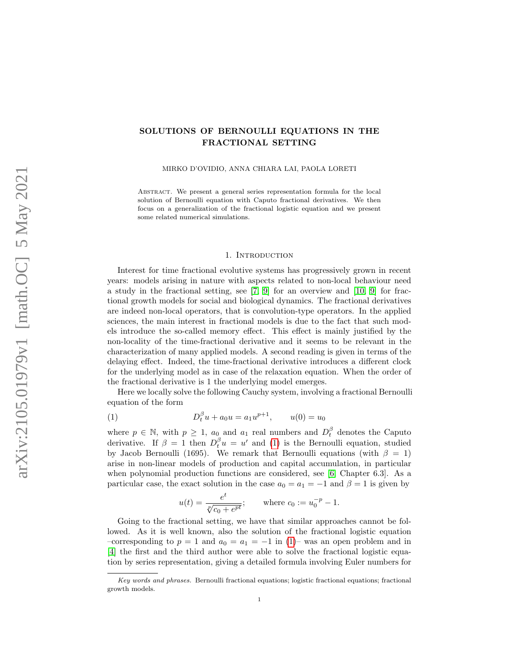## SOLUTIONS OF BERNOULLI EQUATIONS IN THE FRACTIONAL SETTING

MIRKO D'OVIDIO, ANNA CHIARA LAI, PAOLA LORETI

Abstract. We present a general series representation formula for the local solution of Bernoulli equation with Caputo fractional derivatives. We then focus on a generalization of the fractional logistic equation and we present some related numerical simulations.

## 1. INTRODUCTION

Interest for time fractional evolutive systems has progressively grown in recent years: models arising in nature with aspects related to non-local behaviour need a study in the fractional setting, see [\[7,](#page-9-0) [9\]](#page-9-1) for an overview and [\[10,](#page-9-2) [9\]](#page-9-1) for fractional growth models for social and biological dynamics. The fractional derivatives are indeed non-local operators, that is convolution-type operators. In the applied sciences, the main interest in fractional models is due to the fact that such models introduce the so-called memory effect. This effect is mainly justified by the non-locality of the time-fractional derivative and it seems to be relevant in the characterization of many applied models. A second reading is given in terms of the delaying effect. Indeed, the time-fractional derivative introduces a different clock for the underlying model as in case of the relaxation equation. When the order of the fractional derivative is 1 the underlying model emerges.

Here we locally solve the following Cauchy system, involving a fractional Bernoulli equation of the form

(1) 
$$
D_t^{\beta} u + a_0 u = a_1 u^{p+1}, \qquad u(0) = u_0
$$

where  $p \in \mathbb{N}$ , with  $p \geq 1$ ,  $a_0$  and  $a_1$  real numbers and  $D_t^{\beta}$  denotes the Caputo derivative. If  $\beta = 1$  then  $D_t^{\beta} u = u'$  and [\(1\)](#page-0-0) is the Bernoulli equation, studied by Jacob Bernoulli (1695). We remark that Bernoulli equations (with  $\beta = 1$ ) arise in non-linear models of production and capital accumulation, in particular when polynomial production functions are considered, see [\[6,](#page-8-0) Chapter 6.3]. As a particular case, the exact solution in the case  $a_0 = a_1 = -1$  and  $\beta = 1$  is given by

<span id="page-0-0"></span>
$$
u(t) = \frac{e^t}{\sqrt[n]{c_0 + e^{pt}}};
$$
 where  $c_0 := u_0^{-p} - 1.$ 

Going to the fractional setting, we have that similar approaches cannot be followed. As it is well known, also the solution of the fractional logistic equation –corresponding to  $p = 1$  and  $a_0 = a_1 = -1$  in [\(1\)](#page-0-0)– was an open problem and in [\[4\]](#page-8-1) the first and the third author were able to solve the fractional logistic equation by series representation, giving a detailed formula involving Euler numbers for

Key words and phrases. Bernoulli fractional equations; logistic fractional equations; fractional growth models.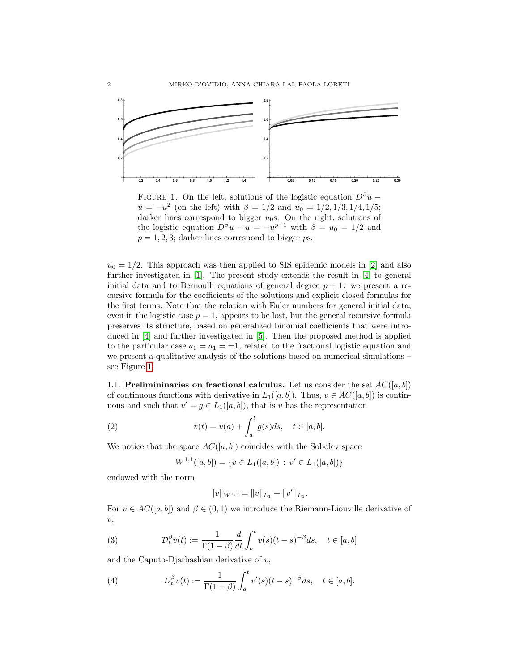<span id="page-1-0"></span>

FIGURE 1. On the left, solutions of the logistic equation  $D^{\beta}u$  –  $u = -u^2$  (on the left) with  $\beta = 1/2$  and  $u_0 = 1/2, 1/3, 1/4, 1/5;$ darker lines correspond to bigger  $u_0$ s. On the right, solutions of the logistic equation  $D^{\beta}u - u = -u^{p+1}$  with  $\beta = u_0 = 1/2$  and  $p = 1, 2, 3$ ; darker lines correspond to bigger ps.

 $u_0 = 1/2$ . This approach was then applied to SIS epidemic models in [\[2\]](#page-8-2) and also further investigated in [\[1\]](#page-8-3). The present study extends the result in [\[4\]](#page-8-1) to general initial data and to Bernoulli equations of general degree  $p + 1$ : we present a recursive formula for the coefficients of the solutions and explicit closed formulas for the first terms. Note that the relation with Euler numbers for general initial data, even in the logistic case  $p = 1$ , appears to be lost, but the general recursive formula preserves its structure, based on generalized binomial coefficients that were introduced in [\[4\]](#page-8-1) and further investigated in [\[5\]](#page-8-4). Then the proposed method is applied to the particular case  $a_0 = a_1 = \pm 1$ , related to the fractional logistic equation and we present a qualitative analysis of the solutions based on numerical simulations – see Figure [1.](#page-1-0)

1.1. Prelimininaries on fractional calculus. Let us consider the set  $AC([a, b])$ of continuous functions with derivative in  $L_1([a, b])$ . Thus,  $v \in AC([a, b])$  is continuous and such that  $v' = g \in L_1([a, b])$ , that is v has the representation

(2) 
$$
v(t) = v(a) + \int_a^t g(s)ds, \quad t \in [a, b].
$$

We notice that the space  $AC([a, b])$  coincides with the Sobolev space

$$
W^{1,1}([a,b]) = \{ v \in L_1([a,b]) : v' \in L_1([a,b]) \}
$$

endowed with the norm

$$
||v||_{W^{1,1}} = ||v||_{L_1} + ||v'||_{L_1}.
$$

For  $v \in AC([a, b])$  and  $\beta \in (0, 1)$  we introduce the Riemann-Liouville derivative of  $\upsilon,$ 

<span id="page-1-1"></span>(3) 
$$
\mathcal{D}_t^{\beta} v(t) := \frac{1}{\Gamma(1-\beta)} \frac{d}{dt} \int_a^t v(s)(t-s)^{-\beta} ds, \quad t \in [a, b]
$$

and the Caputo-Djarbashian derivative of  $v$ ,

<span id="page-1-2"></span>(4) 
$$
D_t^{\beta}v(t) := \frac{1}{\Gamma(1-\beta)} \int_a^t v'(s)(t-s)^{-\beta} ds, \quad t \in [a, b].
$$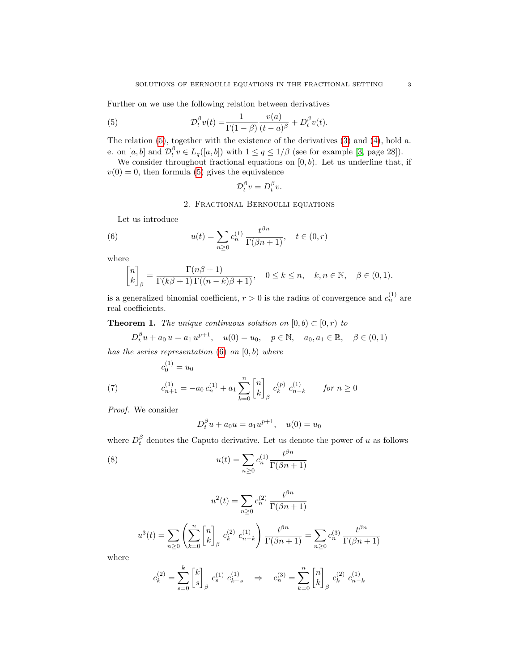Further on we use the following relation between derivatives

<span id="page-2-0"></span>(5) 
$$
\mathcal{D}_t^{\beta} v(t) = \frac{1}{\Gamma(1-\beta)} \frac{v(a)}{(t-a)^{\beta}} + D_t^{\beta} v(t).
$$

The relation [\(5\)](#page-2-0), together with the existence of the derivatives [\(3\)](#page-1-1) and [\(4\)](#page-1-2), hold a. e. on  $[a, b]$  and  $\mathcal{D}_t^{\beta} v \in L_q([a, b])$  with  $1 \le q \le 1/\beta$  (see for example [\[3,](#page-8-5) page 28]).

We consider throughout fractional equations on  $[0, b)$ . Let us underline that, if  $v(0) = 0$ , then formula [\(5\)](#page-2-0) gives the equivalence

$$
\mathcal{D}_t^{\beta} v = D_t^{\beta} v.
$$

2. Fractional Bernoulli equations

Let us introduce

<span id="page-2-1"></span>(6) 
$$
u(t) = \sum_{n\geq 0} c_n^{(1)} \frac{t^{\beta n}}{\Gamma(\beta n + 1)}, \quad t \in (0, r)
$$

where

$$
\begin{bmatrix} n \\ k \end{bmatrix}_{\beta} = \frac{\Gamma(n\beta + 1)}{\Gamma(k\beta + 1)\Gamma((n - k)\beta + 1)}, \quad 0 \le k \le n, \quad k, n \in \mathbb{N}, \quad \beta \in (0, 1).
$$

is a generalized binomial coefficient,  $r > 0$  is the radius of convergence and  $c_n^{(1)}$  are real coefficients.

**Theorem 1.** The unique continuous solution on  $[0, b) \subset [0, r)$  to

$$
D_t^{\beta}u + a_0 u = a_1 u^{p+1}, \quad u(0) = u_0, \quad p \in \mathbb{N}, \quad a_0, a_1 \in \mathbb{R}, \quad \beta \in (0, 1)
$$

has the series representation  $(6)$  on  $[0, b)$  where

 $(1)$ 

<span id="page-2-2"></span>(7) 
$$
c_0^{(1)} = u_0
$$

$$
c_{n+1}^{(1)} = -a_0 c_n^{(1)} + a_1 \sum_{k=0}^n \begin{bmatrix} n \\ k \end{bmatrix}_{\beta} c_k^{(p)} c_{n-k}^{(1)} \quad \text{for } n \ge 0
$$

Proof. We consider

$$
D_t^{\beta} u + a_0 u = a_1 u^{p+1}, \quad u(0) = u_0
$$

where  $D_t^{\beta}$  denotes the Caputo derivative. Let us denote the power of u as follows

<span id="page-2-3"></span>(8) 
$$
u(t) = \sum_{n\geq 0} c_n^{(1)} \frac{t^{\beta n}}{\Gamma(\beta n + 1)}
$$

$$
u^{2}(t) = \sum_{n \geq 0} c_{n}^{(2)} \frac{t^{\beta n}}{\Gamma(\beta n + 1)}
$$

$$
u^{3}(t) = \sum_{n\geq 0} \left(\sum_{k=0}^{n} \begin{bmatrix} n \\ k \end{bmatrix}_{\beta} c_{k}^{(2)} c_{n-k}^{(1)}\right) \frac{t^{\beta n}}{\Gamma(\beta n+1)} = \sum_{n\geq 0} c_{n}^{(3)} \frac{t^{\beta n}}{\Gamma(\beta n+1)}
$$

where

$$
c_k^{(2)} = \sum_{s=0}^k \begin{bmatrix} k \\ s \end{bmatrix}_{\beta} \ c_k^{(1)} \ c_{k-s}^{(1)} \quad \Rightarrow \quad c_n^{(3)} = \sum_{k=0}^n \begin{bmatrix} n \\ k \end{bmatrix}_{\beta} \ c_k^{(2)} \ c_{n-k}^{(1)}
$$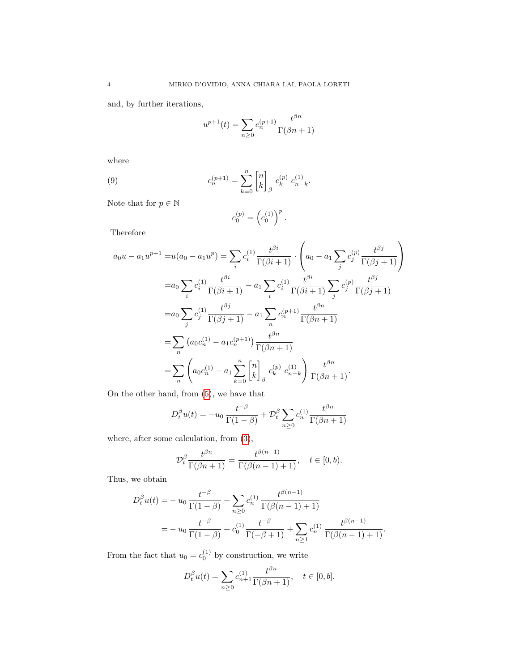and, by further iterations,

$$
u^{p+1}(t) = \sum_{n\geq 0} c_n^{(p+1)} \frac{t^{\beta n}}{\Gamma(\beta n + 1)}
$$

where

<span id="page-3-0"></span>(9) 
$$
c_n^{(p+1)} = \sum_{k=0}^n \begin{bmatrix} n \\ k \end{bmatrix}_{\beta} c_k^{(p)} c_{n-k}^{(1)}.
$$

Note that for  $p\in\mathbb{N}$ 

$$
c_0^{(p)} = \left(c_0^{(1)}\right)^p.
$$

Therefore

$$
a_0u - a_1u^{p+1} = u(a_0 - a_1u^p) = \sum_i c_i^{(1)} \frac{t^{\beta i}}{\Gamma(\beta i + 1)} \cdot \left( a_0 - a_1 \sum_j c_j^{(p)} \frac{t^{\beta j}}{\Gamma(\beta j + 1)} \right)
$$
  
\n
$$
= a_0 \sum_i c_i^{(1)} \frac{t^{\beta i}}{\Gamma(\beta i + 1)} - a_1 \sum_i c_i^{(1)} \frac{t^{\beta i}}{\Gamma(\beta i + 1)} \sum_j c_j^{(p)} \frac{t^{\beta j}}{\Gamma(\beta j + 1)}
$$
  
\n
$$
= a_0 \sum_j c_j^{(1)} \frac{t^{\beta j}}{\Gamma(\beta j + 1)} - a_1 \sum_n c_n^{(p+1)} \frac{t^{\beta n}}{\Gamma(\beta n + 1)}
$$
  
\n
$$
= \sum_n \left( a_0 c_n^{(1)} - a_1 c_n^{(p+1)} \right) \frac{t^{\beta n}}{\Gamma(\beta n + 1)}
$$
  
\n
$$
= \sum_n \left( a_0 c_n^{(1)} - a_1 \sum_{k=0}^n \begin{bmatrix} n \\ k \end{bmatrix}_{\beta} c_k^{(p)} c_{n-k}^{(1)} \right) \frac{t^{\beta n}}{\Gamma(\beta n + 1)}.
$$

On the other hand, from [\(5\)](#page-2-0), we have that

$$
D_t^{\beta} u(t) = -u_0 \frac{t^{-\beta}}{\Gamma(1-\beta)} + \mathcal{D}_t^{\beta} \sum_{n \ge 0} c_n^{(1)} \frac{t^{\beta n}}{\Gamma(\beta n + 1)}
$$

where, after some calculation, from [\(3\)](#page-1-1),

$$
\mathcal{D}_t^{\beta} \frac{t^{\beta n}}{\Gamma(\beta n+1)} = \frac{t^{\beta(n-1)}}{\Gamma(\beta(n-1)+1)}, \quad t \in [0, b).
$$

Thus, we obtain

$$
D_t^{\beta} u(t) = -u_0 \frac{t^{-\beta}}{\Gamma(1-\beta)} + \sum_{n\geq 0} c_n^{(1)} \frac{t^{\beta(n-1)}}{\Gamma(\beta(n-1)+1)}
$$
  
= 
$$
-u_0 \frac{t^{-\beta}}{\Gamma(1-\beta)} + c_0^{(1)} \frac{t^{-\beta}}{\Gamma(-\beta+1)} + \sum_{n\geq 1} c_n^{(1)} \frac{t^{\beta(n-1)}}{\Gamma(\beta(n-1)+1)}.
$$

From the fact that  $u_0 = c_0^{(1)}$  by construction, we write

$$
D_t^{\beta}u(t) = \sum_{n\geq 0} c_{n+1}^{(1)} \frac{t^{\beta n}}{\Gamma(\beta n + 1)}, \quad t \in [0, b].
$$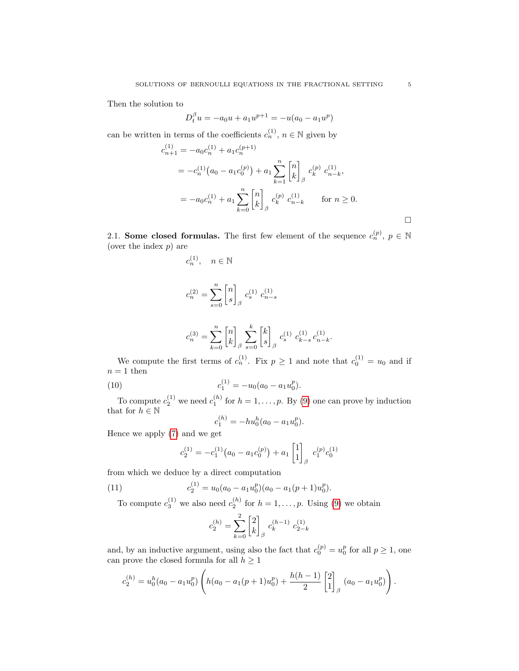Then the solution to

$$
D_t^{\beta} u = -a_0 u + a_1 u^{p+1} = -u(a_0 - a_1 u^p)
$$

can be written in terms of the coefficients  $c_n^{(1)}$ ,  $n \in \mathbb{N}$  given by

$$
c_{n+1}^{(1)} = -a_0 c_n^{(1)} + a_1 c_n^{(p+1)}
$$
  
=  $-c_n^{(1)} (a_0 - a_1 c_0^{(p)}) + a_1 \sum_{k=1}^n \begin{bmatrix} n \\ k \end{bmatrix}_{\beta} c_k^{(p)} c_{n-k}^{(1)},$   
=  $-a_0 c_n^{(1)} + a_1 \sum_{k=0}^n \begin{bmatrix} n \\ k \end{bmatrix}_{\beta} c_k^{(p)} c_{n-k}^{(1)}$  for  $n \ge 0$ .

.

2.1. Some closed formulas. The first few element of the sequence  $c_n^{(p)}$ ,  $p \in \mathbb{N}$ (over the index  $p$ ) are

$$
\begin{array}{ll}c_n^{(1)}, & n \in \mathbb{N} \\ \\ c_n^{(2)} = \displaystyle \sum_{s=0}^n \begin{bmatrix}n\\s\end{bmatrix}_\beta \ c_s^{(1)} \ c_{n-s}^{(1)} \\ \\ c_n^{(3)} = \displaystyle \sum_{k=0}^n \begin{bmatrix}n\\k\end{bmatrix}_\beta \ \sum_{s=0}^k \begin{bmatrix}k\\s\end{bmatrix}_\beta \ c_s^{(1)} \ c_{k-s}^{(1)} \ c_{n-k}^{(1)} \end{array}
$$

We compute the first terms of  $c_n^{(1)}$ . Fix  $p \ge 1$  and note that  $c_0^{(1)} = u_0$  and if  $n = 1$  then

(10) 
$$
c_1^{(1)} = -u_0(a_0 - a_1u_0^p).
$$

To compute  $c_2^{(1)}$  we need  $c_1^{(h)}$  for  $h = 1, \ldots, p$ . By [\(9\)](#page-3-0) one can prove by induction that for  $h \in \mathbb{N}$ 

<span id="page-4-1"></span>
$$
c_1^{(h)} = -hu_0^h(a_0 - a_1u_0^p).
$$

Hence we apply [\(7\)](#page-2-2) and we get

<span id="page-4-0"></span>
$$
c_2^{(1)} = -c_1^{(1)}(a_0 - a_1 c_0^{(p)}) + a_1 \begin{bmatrix} 1 \\ 1 \end{bmatrix}_{\beta} c_1^{(p)} c_0^{(1)}
$$

from which we deduce by a direct computation

(11) 
$$
c_2^{(1)} = u_0(a_0 - a_1u_0^p)(a_0 - a_1(p+1)u_0^p).
$$

To compute  $c_3^{(1)}$  we also need  $c_2^{(h)}$  for  $h = 1, \ldots, p$ . Using [\(9\)](#page-3-0) we obtain

$$
c_2^{(h)} = \sum_{k=0}^{2} \begin{bmatrix} 2 \\ k \end{bmatrix}_{\beta} c_k^{(h-1)} c_{2-k}^{(1)}
$$

and, by an inductive argument, using also the fact that  $c_0^{(p)} = u_0^p$  for all  $p \ge 1$ , one can prove the closed formula for all  $h\geq 1$ 

$$
c_2^{(h)} = u_0^h(a_0 - a_1u_0^p)\left(h(a_0 - a_1(p+1)u_0^p) + \frac{h(h-1)}{2}\begin{bmatrix}2\\1\end{bmatrix}_{\beta}(a_0 - a_1u_0^p)\right).
$$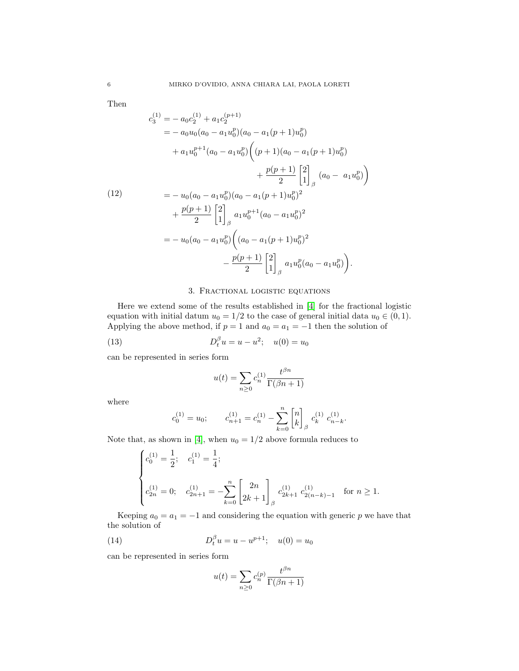Then

<span id="page-5-0"></span>
$$
c_3^{(1)} = -a_0c_2^{(1)} + a_1c_2^{(p+1)}
$$
  
=  $-a_0u_0(a_0 - a_1u_0^p)(a_0 - a_1(p+1)u_0^p)$   
+  $a_1u_0^{p+1}(a_0 - a_1u_0^p)\left((p+1)(a_0 - a_1(p+1)u_0^p) + \frac{p(p+1)}{2}\left[\begin{matrix}2\\1\end{matrix}\right]_{\beta}(a_0 - a_1u_0^p)\right)$   
=  $-u_0(a_0 - a_1u_0^p)(a_0 - a_1(p+1)u_0^p)^2$   
+  $\frac{p(p+1)}{2}\left[\begin{matrix}2\\1\end{matrix}\right]_{\beta}a_1u_0^{p+1}(a_0 - a_1u_0^p)^2$   
=  $-u_0(a_0 - a_1u_0^p)\left((a_0 - a_1(p+1)u_0^p)^2 - \frac{p(p+1)}{2}\left[\begin{matrix}2\\1\end{matrix}\right]_{\beta}a_1u_0^p(a_0 - a_1u_0^p)\right).$ 

## 3. Fractional logistic equations

Here we extend some of the results established in [\[4\]](#page-8-1) for the fractional logistic equation with initial datum  $u_0 = 1/2$  to the case of general initial data  $u_0 \in (0, 1)$ . Applying the above method, if  $p = 1$  and  $a_0 = a_1 = -1$  then the solution of

(13) 
$$
D_t^{\beta} u = u - u^2; \quad u(0) = u_0
$$

can be represented in series form

$$
u(t) = \sum_{n\geq 0} c_n^{(1)} \frac{t^{\beta n}}{\Gamma(\beta n + 1)}
$$

where

$$
c_0^{(1)} = u_0; \t c_{n+1}^{(1)} = c_n^{(1)} - \sum_{k=0}^n \begin{bmatrix} n \\ k \end{bmatrix}_{\beta} c_k^{(1)} c_{n-k}^{(1)}.
$$

Note that, as shown in [\[4\]](#page-8-1), when  $u_0 = 1/2$  above formula reduces to

$$
\begin{cases} c_0^{(1)}=\frac{1}{2}; & c_1^{(1)}=\frac{1}{4}; \\ \\ c_{2n}^{(1)}=0; & c_{2n+1}^{(1)}=-\displaystyle\sum_{k=0}^n \begin{bmatrix} 2n \\ 2k+1 \end{bmatrix}_\beta c_{2k+1}^{(1)}\ c_{2(n-k)-1}^{(1)} \quad \text{for } n\geq 1. \label{eq:11}
$$

Keeping  $a_0 = a_1 = -1$  and considering the equation with generic p we have that the solution of

(14) 
$$
D_t^{\beta} u = u - u^{p+1}; \quad u(0) = u_0
$$

can be represented in series form

$$
u(t) = \sum_{n\geq 0} c_n^{(p)} \frac{t^{\beta n}}{\Gamma(\beta n + 1)}
$$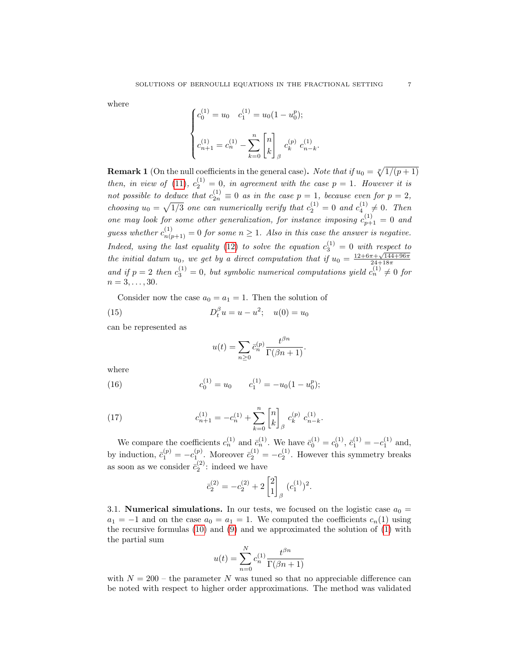where

$$
\begin{cases} c_0^{(1)} = u_0 & c_1^{(1)} = u_0 (1 - u_0^p); \\ c_{n+1}^{(1)} = c_n^{(1)} - \sum_{k=0}^n \begin{bmatrix} n \\ k \end{bmatrix}_{\beta} c_k^{(p)} c_{n-k}^{(1)} \end{cases}
$$

.

**Remark 1** (On the null coefficients in the general case). Note that if  $u_0 = \sqrt[p]{1/(p+1)}$ then, in view of [\(11\)](#page-4-0),  $c_2^{(1)} = 0$ , in agreement with the case  $p = 1$ . However it is not possible to deduce that  $c_{2n}^{(1)} \equiv 0$  as in the case  $p = 1$ , because even for  $p = 2$ , choosing  $u_0 = \sqrt{1/3}$  one can numerically verify that  $c_2^{(1)} = 0$  and  $c_4^{(1)} \neq 0$ . Then one may look for some other generalization, for instance imposing  $c_{p+1}^{(1)} = 0$  and guess whether  $c_{n(p+1)}^{(1)} = 0$  for some  $n \ge 1$ . Also in this case the answer is negative. Indeed, using the last equality [\(12\)](#page-5-0) to solve the equation  $c_3^{(1)} = 0$  with respect to the initial datum  $u_0$ , we get by a direct computation that if  $u_0 = \frac{12+6\pi + \sqrt{144+96\pi}}{24+18\pi}$ and if  $p = 2$  then  $c_3^{(1)} = 0$ , but symbolic numerical computations yield  $c_n^{(1)} \neq 0$  for  $n = 3, \ldots, 30.$ 

Consider now the case  $a_0 = a_1 = 1$ . Then the solution of

(15) 
$$
D_t^{\beta} u = u - u^2; \quad u(0) = u_0
$$

can be represented as

$$
u(t) = \sum_{n\geq 0} \bar{c}_n^{(p)} \frac{t^{\beta n}}{\Gamma(\beta n + 1)}.
$$

where

(16) 
$$
c_0^{(1)} = u_0 \qquad c_1^{(1)} = -u_0(1 - u_0^p);
$$

(17) 
$$
c_{n+1}^{(1)} = -c_n^{(1)} + \sum_{k=0}^n \begin{bmatrix} n \\ k \end{bmatrix}_{\beta} c_k^{(p)} c_{n-k}^{(1)}.
$$

We compare the coefficients  $c_n^{(1)}$  and  $\bar{c}_n^{(1)}$ . We have  $\bar{c}_0^{(1)} = c_0^{(1)}$ ,  $\bar{c}_1^{(1)} = -c_1^{(1)}$  and, by induction,  $\bar{c}_1^{(p)} = -c_1^{(p)}$ . Moreover  $\bar{c}_2^{(1)} = -c_2^{(1)}$ . However this symmetry breaks as soon as we consider  $\bar{c}_2^{(2)}$ : indeed we have

$$
\bar{c}_2^{(2)} = -c_2^{(2)} + 2 \begin{bmatrix} 2 \\ 1 \end{bmatrix}_{\beta} (c_1^{(1)})^2.
$$

3.1. **Numerical simulations.** In our tests, we focused on the logistic case  $a_0 =$  $a_1 = -1$  and on the case  $a_0 = a_1 = 1$ . We computed the coefficients  $c_n(1)$  using the recursive formulas [\(10\)](#page-4-1) and [\(9\)](#page-3-0) and we approximated the solution of [\(1\)](#page-0-0) with the partial sum

$$
u(t) = \sum_{n=0}^{N} c_n^{(1)} \frac{t^{\beta n}}{\Gamma(\beta n + 1)}
$$

with  $N = 200$  – the parameter N was tuned so that no appreciable difference can be noted with respect to higher order approximations. The method was validated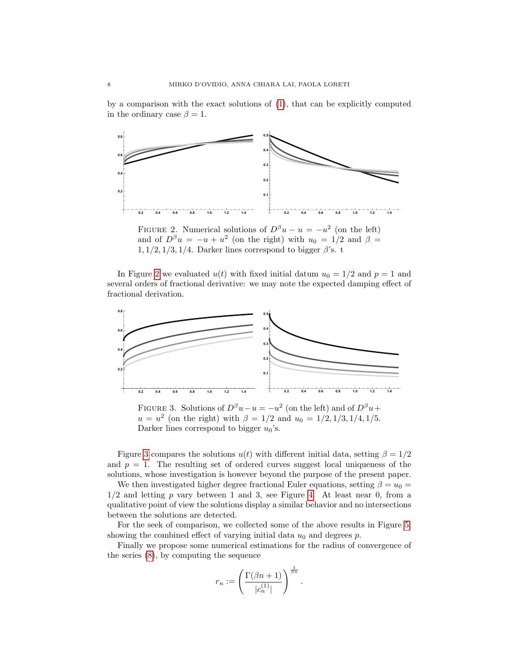by a comparison with the exact solutions of [\(1\)](#page-0-0), that can be explicitly computed in the ordinary case  $\beta = 1$ .

<span id="page-7-0"></span>

FIGURE 2. Numerical solutions of  $D^{\beta}u - u = -u^2$  (on the left) and of  $D^{\beta}u = -u + u^2$  (on the right) with  $u_0 = 1/2$  and  $\beta =$  $1, 1/2, 1/3, 1/4$ . Darker lines correspond to bigger  $\beta$ 's. t

In Figure [2](#page-7-0) we evaluated  $u(t)$  with fixed initial datum  $u_0 = 1/2$  and  $p = 1$  and several orders of fractional derivative: we may note the expected damping effect of fractional derivation.

<span id="page-7-1"></span>

FIGURE 3. Solutions of  $D^{\beta}u - u = -u^2$  (on the left) and of  $D^{\beta}u +$  $u = u^2$  (on the right) with  $\beta = 1/2$  and  $u_0 = 1/2, 1/3, 1/4, 1/5$ . Darker lines correspond to bigger  $u_0$ 's.

Figure [3](#page-7-1) compares the solutions  $u(t)$  with different initial data, setting  $\beta = 1/2$ and  $p = 1$ . The resulting set of ordered curves suggest local uniqueness of the solutions, whose investigation is however beyond the purpose of the present paper.

We then investigated higher degree fractional Euler equations, setting  $\beta = u_0 =$  $1/2$  and letting p vary between 1 and 3, see Figure [4.](#page-8-6) At least near 0, from a qualitative point of view the solutions display a similar behavior and no intersections between the solutions are detected.

For the seek of comparison, we collected some of the above results in Figure [5,](#page-8-7) showing the combined effect of varying initial data  $u_0$  and degrees  $p$ .

Finally we propose some numerical estimations for the radius of convergence of the series [\(8\)](#page-2-3), by computing the sequence

$$
r_n:=\left(\frac{\Gamma(\beta n+1)}{|c_n^{(1)}|}\right)^{\frac{1}{\beta n}}
$$

.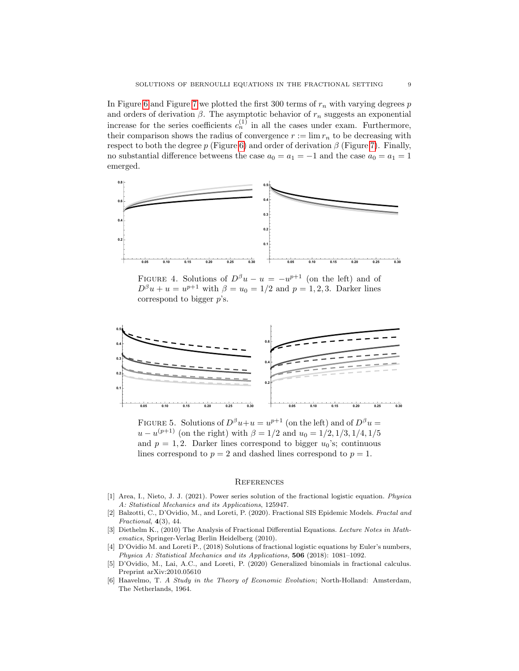In Figure [6](#page-9-3) and Figure [7](#page-9-4) we plotted the first 300 terms of  $r_n$  with varying degrees p and orders of derivation  $\beta$ . The asymptotic behavior of  $r_n$  suggests an exponential increase for the series coefficients  $c_n^{(1)}$  in all the cases under exam. Furthermore, their comparison shows the radius of convergence  $r := \lim r_n$  to be decreasing with respect to both the degree p (Figure [6\)](#page-9-3) and order of derivation  $\beta$  (Figure [7\)](#page-9-4). Finally, no substantial difference betweens the case  $a_0 = a_1 = -1$  and the case  $a_0 = a_1 = 1$ emerged.

<span id="page-8-6"></span>

FIGURE 4. Solutions of  $D^{\beta}u - u = -u^{p+1}$  (on the left) and of  $D^{\beta}u + u = u^{p+1}$  with  $\beta = u_0 = 1/2$  and  $p = 1, 2, 3$ . Darker lines correspond to bigger  $p$ 's.

<span id="page-8-7"></span>

FIGURE 5. Solutions of  $D^{\beta}u+u=u^{p+1}$  (on the left) and of  $D^{\beta}u=$  $u - u^{(p+1)}$  (on the right) with  $\beta = 1/2$  and  $u_0 = 1/2, 1/3, 1/4, 1/5$ and  $p = 1, 2$ . Darker lines correspond to bigger  $u_0$ 's; continuous lines correspond to  $p = 2$  and dashed lines correspond to  $p = 1$ .

## **REFERENCES**

- <span id="page-8-3"></span>[1] Area, I., Nieto, J. J. (2021). Power series solution of the fractional logistic equation. Physica A: Statistical Mechanics and its Applications, 125947.
- <span id="page-8-2"></span>[2] Balzotti, C., D'Ovidio, M., and Loreti, P. (2020). Fractional SIS Epidemic Models. Fractal and Fractional, 4(3), 44.
- <span id="page-8-5"></span>[3] Diethelm K., (2010) The Analysis of Fractional Differential Equations. Lecture Notes in Mathematics, Springer-Verlag Berlin Heidelberg (2010).
- <span id="page-8-1"></span>[4] D'Ovidio M. and Loreti P., (2018) Solutions of fractional logistic equations by Euler's numbers, Physica A: Statistical Mechanics and its Applications, 506 (2018): 1081–1092.
- <span id="page-8-4"></span>[5] D'Ovidio, M., Lai, A.C., and Loreti, P. (2020) Generalized binomials in fractional calculus. Preprint arXiv:2010.05610
- <span id="page-8-0"></span>[6] Haavelmo, T. A Study in the Theory of Economic Evolution; North-Holland: Amsterdam, The Netherlands, 1964.